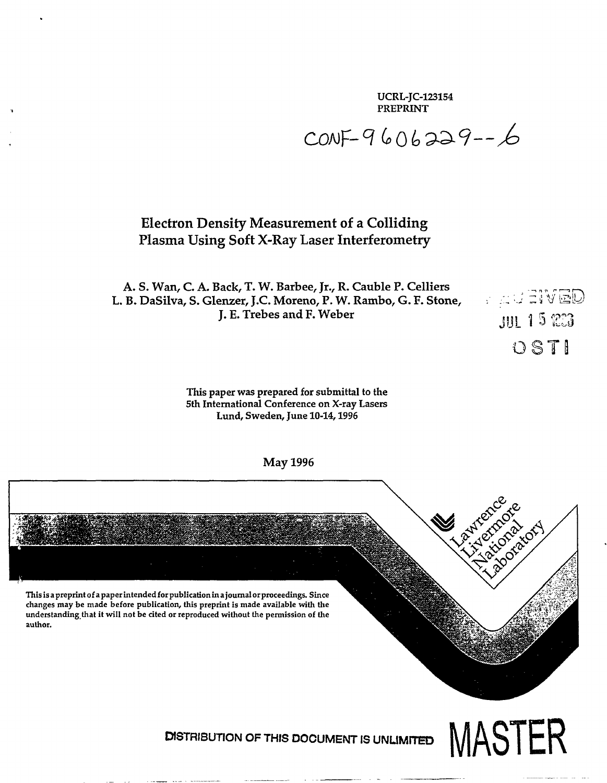UCRL-JC-123154 PREPRINT

 $CONF-9606229--6$ 

# Electron Density Measurement of a Colliding Plasma Using Soft X-Ray Laser Interferometry

A. S. Wan, C. A. Back, T. W. Barbee, Jr., R. Cauble P. Celliers L. B. DaSilva, S. Glenzer, J.C. Moreno, P. W. Rambo, G. F. Stone, **J. E. Trebes and F. Weber for a set of the full 1 5 OC3** 

**PACEIVED** OSTi

This paper was prepared for submittal to the 5th International Conference on X-ray Lasers Lund, Sweden, June 10-14,1996

**May 1996** 



DISTRIBUTION OF THIS DOCUMENT IS UNLIMITED **MASTER**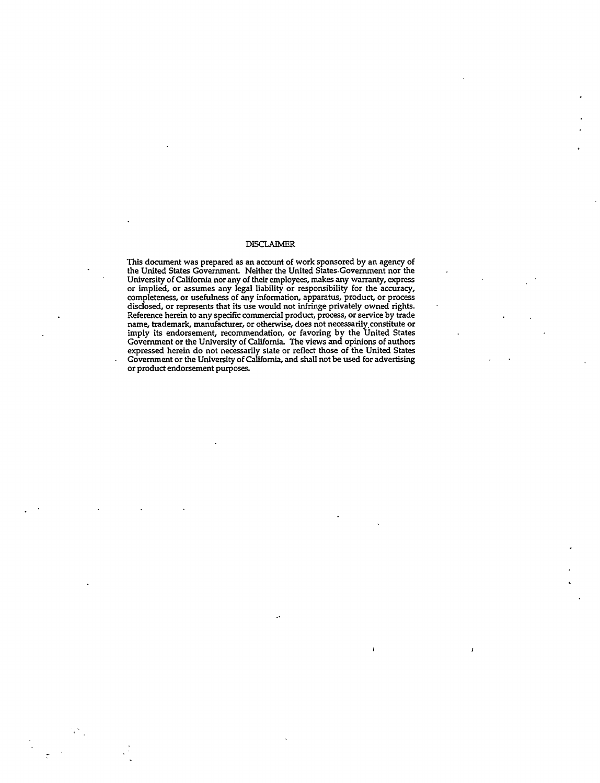# DISCLAIMER

This document was prepared as an account of work sponsored by an agency of the United States Government. Neither the United States-Government nor the University of California nor any of their employees, makes any warranty, express or implied, or assumes any legal liability or responsibility for the accuracy, completeness, or usefulness of any information, apparatus, product, or process disclosed, or represents that its use would not infringe privately owned rights. Reference herein to any specific commercial product, process, or service by trade name, trademark, manufacturer, or otherwise, does not necessarily.constitute or imply its endorsement, recommendation, or favoring by the United States Government or the University of California. The views and opinions of authors expressed herein do not necessarily state or reflect those of the United States Government or the University of California, and shall not be used for advertising or product endorsement purposes.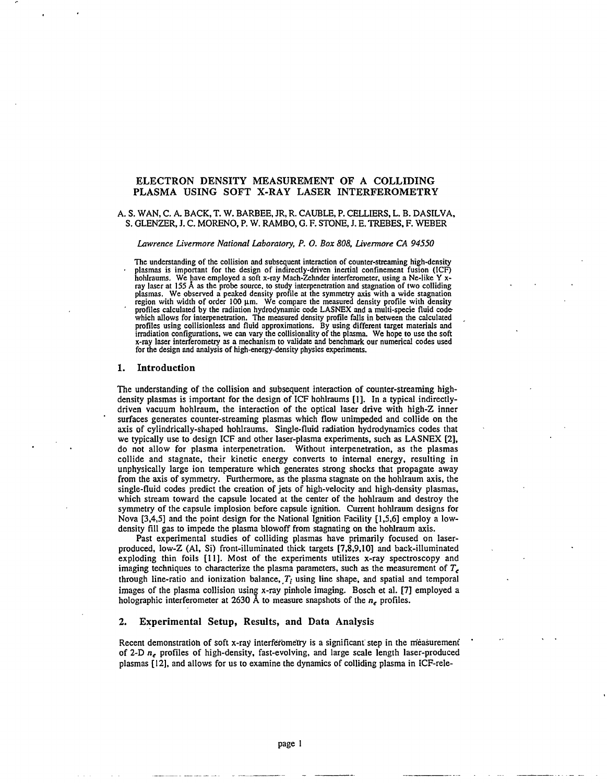# ELECTRON DENSITY MEASUREMENT OF A COLLIDING PLASMA USING SOFT X-RAY LASER INTERFEROMETRY

### A. S. WAN, C. A. BACK, T. W. BARBEE, JR, R. CAUBLE, P. CELLIERS, L. B. DASILVA, S. GLENZER, J. C. MORENO, P. W. RAMBO, G. F. STONE, J. E. TREBES, F. WEBER

## *Lawrence Livermore National Laboratory, P. O. Box 808, Livermore CA 94550*

The understanding of the collision and subsequent interaction of counter-streaming high-density plasmas is important for the design of indirectly-driven inertial confinement fusion (ICF) hohlraums. We have employed a soft x-ray Mach-Zehnder interferometer, using a Ne-like Y xray laser at 155 A as the probe source, to study interpenetration and stagnation of two colliding plasmas. We observed a peaked density profile at the symmetry axis with a wide stagnation region with width of order 100 µm. We compare the measured density profile with density profiles calculated by the radiation hydrody which allows for interpenetration. The measured density profile falls in between the calculated profiles using collisionless and fluid approximations. By using different target materials and irradiation configurations, we can vary the collisionality of the plasma. We hope to use the soft x-ray laser interferometry as a mechanism to validate and benchmark our numerical codes used for the design and analysis of high-energy-density physics experiments.

## **1. Introduction**

The understanding of the collision and subsequent interaction of counter-streaming highdensity plasmas is important for the design of ICF hohlraums [1]. In a typical indirectlydriven vacuum hohlraum, the interaction of the optical laser drive with high-Z inner surfaces generates counter-streaming plasmas which flow unimpeded and collide on the axis of cylindrically-shaped hohlraums. Single-fluid radiation hydrodynamics codes that we typically use to design ICF and other laser-plasma experiments, such as LASNEX [2], do not allow for plasma interpenetration. Without interpenetration, as the plasmas collide and stagnate, their kinetic energy converts to internal energy, resulting in unphysically large ion temperature which generates strong shocks that propagate away from the axis of symmetry. Furthermore, as the plasma stagnate on the hohlraum axis, the single-fluid codes predict the creation of jets of high-velocity and high-density plasmas, which stream toward the capsule located at the center of the hohlraum and destroy the symmetry of the capsule implosion before capsule ignition. Current hohlraum designs for Nova [3,4,5] and the point design for the National Ignition Facility [1,5,6] employ a lowdensity fill gas to impede the plasma blowoff from stagnating on the hohlraum axis.

Past experimental studies of colliding plasmas have primarily focused on laserproduced, low-Z (Al, Si) front-illuminated thick targets [7,8,9,10] and back-illuminated exploding thin foils [11]. Most of the experiments utilizes x-ray spectroscopy and imaging techniques to characterize the plasma parameters, such as the measurement of *T<sup>e</sup>* through line-ratio and ionization balance,  $T_i$  using line shape, and spatial and temporal images of the plasma collision using x-ray pinhole imaging. Bosch et al. [7] employed a holographic interferometer at 2630 Å to measure snapshots of the *n<sub>e</sub>* profiles.

#### 2. **Experimental Setup,** Results, **and Data Analysis**

Recent demonstration of soft x-ray interferometry is a significant step in the measurement of 2-D *n<sup>e</sup>* profiles of high-density, fast-evolving, and large scale length laser-produced plasmas [12], and allows for us to examine the dynamics of colliding plasma in ICF-rele-

page 1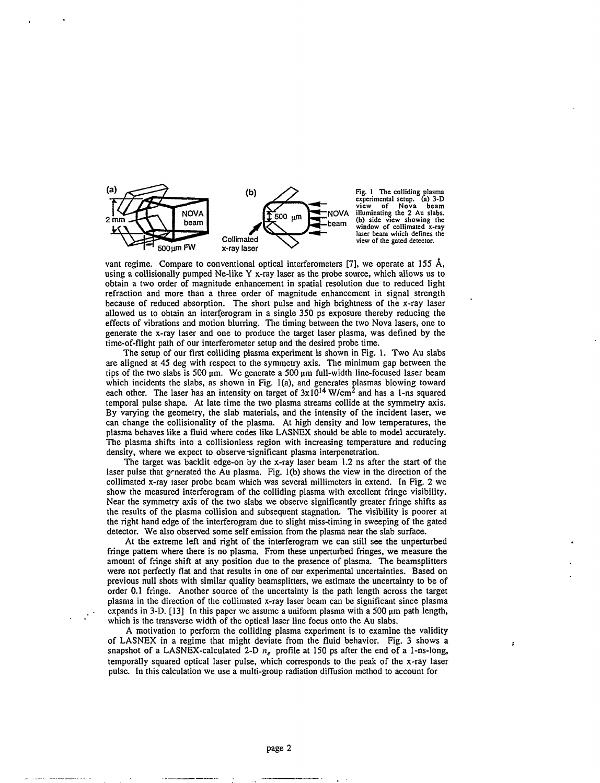

vant regime. Compare to conventional optical interferometers [7], we operate at 155 A, using a collisionally pumped Ne-like Y x-ray laser as the probe source, which allows us to obtain a two order of magnitude enhancement in spatial resolution due to reduced light refraction and more than a three order of magnitude enhancement in signal strength because of reduced absorption. The short pulse and high brightness of the x-ray laser allowed us to obtain an interferogram in a single 350 ps exposure thereby reducing the effects of vibrations and motion blurring. The timing between the two Nova lasers, one to generate the x-ray laser and one to produce the target laser plasma, was defined by the time-of-flight path of our interferometer setup and the desired probe time.

The setup of our first colliding plasma experiment is shown in Fig. 1. Two Au slabs are aligned at 45 deg with respect to the symmetry axis. The minimum gap between the tips of the two slabs is 500  $\mu$ m. We generate a 500  $\mu$ m full-width line-focused laser beam which incidents the slabs, as shown in Fig. 1(a), and generates plasmas blowing toward each other. The laser has an intensity on target of  $3x10^{14}$  W/cm<sup>2</sup> and has a 1-ns squared temporal pulse shape. At late time the two plasma streams collide at the symmetry axis. By varying the geometry, the slab materials, and the intensity of the incident laser, we can change the collisionality of the plasma. At high density and low temperatures, the plasma behaves like a fluid where codes like LASNEX should be able to model accurately. The plasma shifts into a collisionless region with increasing temperature and reducing density, where we expect to observe-significant plasma interpenetration.

The target was backlit edge-on by the x-ray laser beam 1.2 ns after the start of the laser pulse that generated the Au plasma. Fig. 1(b) shows the view in the direction of the collimated x-ray laser probe beam which was several millimeters in extend. In Fig. 2 we show the measured interferogram of the colliding plasma with excellent fringe visibility. Near the symmetry axis of the two slabs we observe significantly greater fringe shifts as the results of the plasma collision and subsequent stagnation. The visibility is poorer at the right hand edge of the interferogram due to slight miss-timing in sweeping of the gated detector. We also observed some self emission from the plasma near the slab surface.

At the extreme left and right of the interferogram we can still see the unperturbed fringe pattern where there is no plasma. From these unperturbed fringes, we measure the amount of fringe shift at any position due to the presence of plasma. The beamsplitters were not perfectly flat and that results in one of our experimental uncertainties. Based on previous null shots with similar quality beamsplitters, we estimate the uncertainty to be of order 0.1 fringe. Another source of the uncertainty is the path length across the target plasma in the direction of the collimated x-ray laser beam can be significant since plasma expands in 3-D. [13] In this paper we assume a uniform plasma with a 500  $\mu$ m path length, which is the transverse width of the optical laser line focus onto the Au slabs.

A motivation to perform the colliding plasma experiment is to examine the validity of LASNEX in a regime that might deviate from the fluid behavior. Fig. 3 shows a snapshot of a LASNEX-calculated 2-D  $n_e$  profile at 150 ps after the end of a 1-ns-long, temporally squared optical laser pulse, which corresponds to the peak of the x-ray laser pulse. In this calculation we use a multi-group radiation diffusion method to account for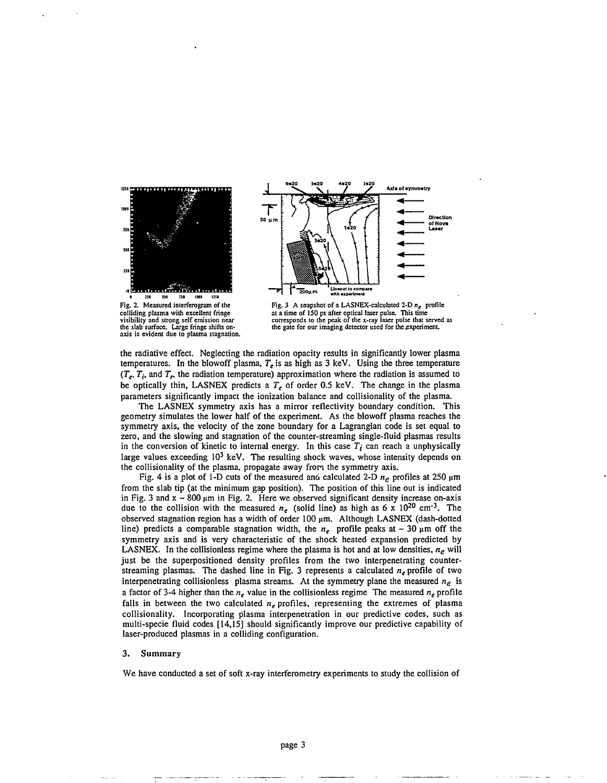



**Fig. 2. Measured interferogram of the colliding plasma with excellent fringe visibility and strong self emission near the slab surface. Large fringe shifts onaxis is evident due to plasma stagnation.** 



the radiative effect. Neglecting the radiation opacity results in significantly lower plasma temperatures. In the blowoff plasma,  $T_e$  is as high as 3 keV. Using the three temperature  $(T_e, T_i)$  and  $T_n$  the radiation temperature) approximation where the radiation is assumed to be optically thin, LASNEX predicts a T<sub>*e*</sub> of order 0.5 keV. The change in the plasma parameters significantly impact the ionization balance and collisionality of the plasma.

The LASNEX symmetry axis has a mirror reflectivity boundary condition. This geometry simulates the lower half of the experiment. As the blowoff plasma reaches the symmetry axis, the velocity of the zone boundary for a Lagrangian code is set equal to zero, and the slowing and stagnation of the counter-streaming single-fluid plasmas results in the conversion of kinetic to internal energy. In this case  $T_i$  can reach a unphysically large values exceeding  $10^3$  keV. The resulting shock waves, whose intensity depends on the collisionality of the plasma, propagate away from the symmetry axis.

Fig. 4 is a plot of 1-D cuts of the measured and calculated 2-D  $n_e$  profiles at 250  $\mu$ m from the slab tip (at the minimum gap position). The position of this line out is indicated in Fig. 3 and  $x \sim 800$  µm in Fig. 2. Here we observed significant density increase on-axis due to the collision with the measured  $n_e$  (solid line) as high as 6 x 10<sup>20</sup> cm<sup>-3</sup>. The observed stagnation region has a width of order  $100 \mu m$ . Although LASNEX (dash-dotted line) predicts a comparable stagnation width, the  $n_e$  profile peaks at  $\sim 30 \mu m$  off the symmetry axis and is very characteristic of the shock heated expansion predicted by LASNEX. In the collisionless regime where the plasma is hot and at low densities,  $n_e$  will just be the superpositioned density profiles from the two interpenetrating counterstreaming plasmas. The dashed line in Fig. 3 represents a calculated *n<sup>e</sup>* profile of two interpenetrating collisionless plasma streams. At the symmetry plane the measured  $n_e$  is a factor of 3-4 higher than the *n<sub>e</sub>* value in the collisionless regime. The measured *n<sub>e</sub>* profile falls in between the two calculated *n*<sub>c</sub> profiles, representing the extremes of plasma collisionality. Incorporating plasma interpenetration in our predictive codes, such as multi-specie fluid codes [14,15] should significantly improve our predictive capability of laser-produced plasmas in a colliding configuration.

#### 3. Summary

We have conducted a set of soft x-ray interferometry experiments to study the collision of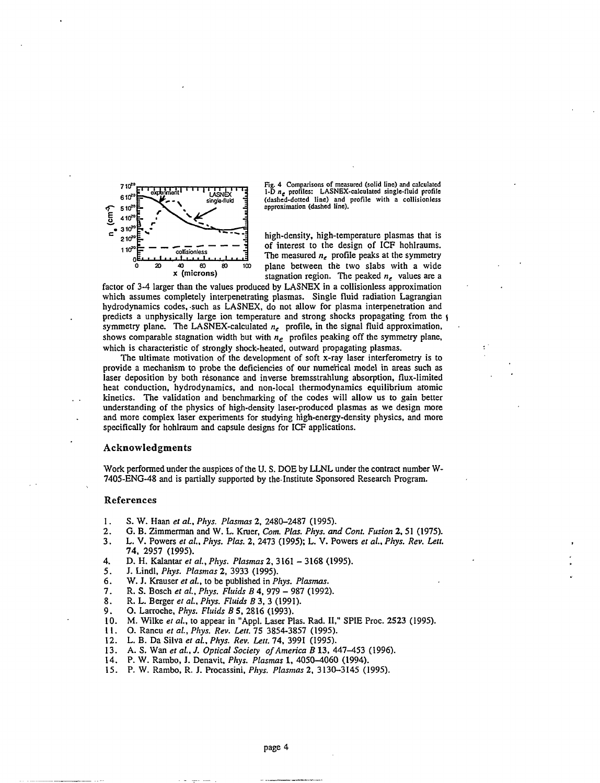

**Fig. 4 Comparisons of measured (solid line) and calculated 1-D** *n<sup>e</sup>*  **profiles: LASNEX-calculaied single-fluid profile (dashed-dotted line) and profile with a collisionless approximation (dashed line).** 

high-density, high-temperature plasmas that is of interest to the design of ICF hohlraums. The measured *n<sup>e</sup>* profile peaks at the symmetry plane between the two slabs with a wide stagnation region. The peaked *n<sup>e</sup>* values are a

factor of 3-4 larger than the values produced by LASNEX in a collisionless approximation which assumes completely interpenetrating plasmas. Single fluid radiation Lagrangian hydrodynamics codes, such as LASNEX, do not allow for plasma interpenetration and predicts a unphysically large ion temperature and strong shocks propagating from the *\*  symmetry plane. The LASNEX-calculated *n<sup>e</sup>* profile, in the signal fluid approximation, shows comparable stagnation width but with  $n_e$  profiles peaking off the symmetry plane, which is characteristic of strongly shock-heated, outward propagating plasmas.

The ultimate motivation of the development of soft x-ray laser interferometry is to provide a mechanism to probe the deficiencies of our numerical model in areas such as laser deposition by both resonance and inverse bremsstrahlung absorption, flux-limited heat conduction, hydrodynamics, and non-local thermodynamics equilibrium atomic kinetics. The validation and benchmarking of the codes will allow us to gain better understanding of the physics of high-density laser-produced plasmas as we design more and more complex laser experiments for studying high-energy-density physics, and more specifically for hohlraum and capsule designs for ICF applications.

#### **Acknowledgments**

Work performed under the auspices of the U. S. DOE by LLNL under the contract number W-7405-ENG-48 and is partially supported by the-Institute Sponsored Research Program.

#### **References**

- 1. S. W. Haan *et al., Phys. Plasmas* 2, 2480-2487 (1995).
- 2. G. B. Zimmerman and W. L. Kruer, *Com. Plas. Phys. and Cont. Fusion* 2, 51 (1975).
- 3 . L. V. Powers *et al., Phys. Plas.* 2, 2473 (1995); L. V. Powers *et al., Phys. Rev. Lett.*  74, 2957 (1995).
- 4. D. H. Kalantar *et al., Phys. Plasmas* 2, 3161 3168 (1995).
- 5. J. Lindl, *Phys. Plasmas* 2, 3933 (1995).
- 6. W. J. Krauser *et al.,* to be published in *Phys. Plasmas.*
- 7. R. S. Bosch *et al., Phys. Fluids B* 4, 979 987 (1992).
- 8. R. L. Berger *et al., Phys. Fluids B* 3, 3 (1991).
- 9. O. Larroche, *Phys. Fluids B* 5, 2816 (1993).
- 10. M. Wilke *et al.,* to appear in "Appl. Laser Plas. Rad. II," SPIE Proc. 2523 (1995).
- 11. O. Rancu *et al., Phys. Rev. Lett.* 75 3854-3857 (1995).
- 12. L. B. Da Silva *et al., Phys. Rev. Lett.* 74, 3991 (1995).
- 13. A. S. Wan *et al., J. Optical Society of America B* 13, 447-453 (1996).
- 14. P. W. Rambo, J. Denavit, *Phys. Plasmas* 1, 4050-4060 (1994).
- 15. P. W. Rambo, R. J. Procassini, *Phys. Plasmas* 2, 3130-3145 (1995).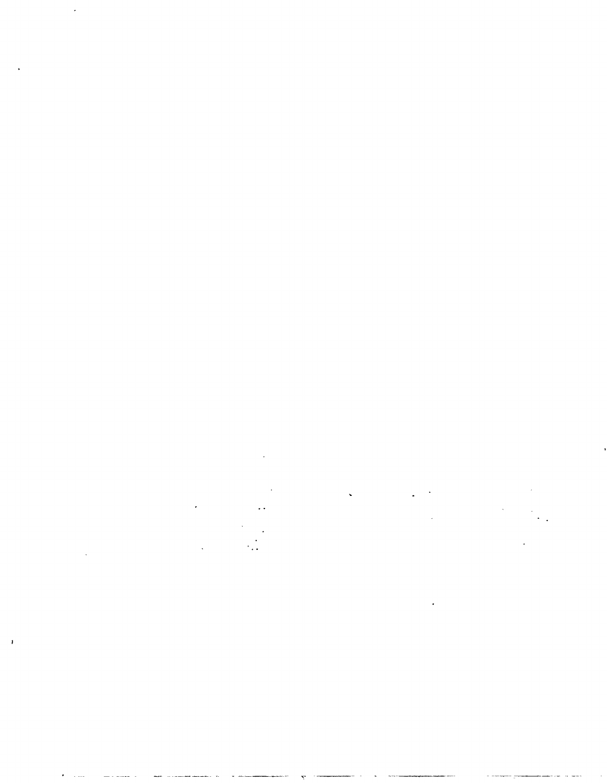$\overline{\phantom{a}}$ 

 $\mathcal{L}^{\mathcal{L}}(\mathbf{X})$  . The set of  $\mathcal{L}^{\mathcal{L}}(\mathbf{X})$  $\mathbb{R}$  $\mathcal{F}_{\mathcal{A}}$ 

 $\ddot{\phantom{0}}$  $\ddot{\cdot}$ .  $\sim 10^{-11}$ 

 $\sim 10^{11}$